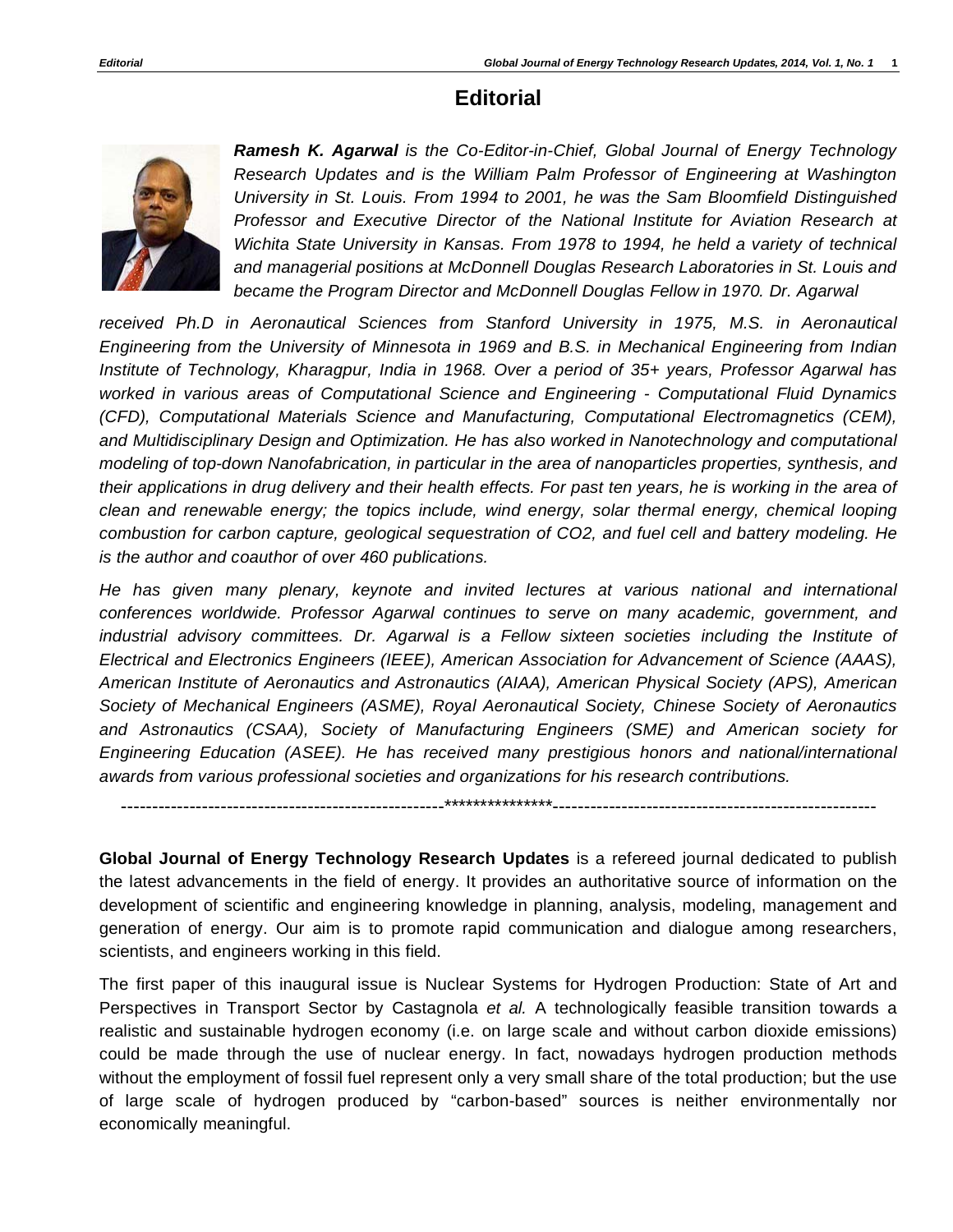## **Editorial**



*Ramesh K. Agarwal is the Co-Editor-in-Chief, Global Journal of Energy Technology Research Updates and is the William Palm Professor of Engineering at Washington University in St. Louis. From 1994 to 2001, he was the Sam Bloomfield Distinguished Professor and Executive Director of the National Institute for Aviation Research at Wichita State University in Kansas. From 1978 to 1994, he held a variety of technical and managerial positions at McDonnell Douglas Research Laboratories in St. Louis and*  became the Program Director and McDonnell Douglas Fellow in 1970. Dr. Agarwal

*received Ph.D in Aeronautical Sciences from Stanford University in 1975, M.S. in Aeronautical Engineering from the University of Minnesota in 1969 and B.S. in Mechanical Engineering from Indian Institute of Technology, Kharagpur, India in 1968. Over a period of 35+ years, Professor Agarwal has worked in various areas of Computational Science and Engineering - Computational Fluid Dynamics (CFD), Computational Materials Science and Manufacturing, Computational Electromagnetics (CEM),*  and Multidisciplinary Design and Optimization. He has also worked in Nanotechnology and computational *modeling of top-down Nanofabrication, in particular in the area of nanoparticles properties, synthesis, and their applications in drug delivery and their health effects. For past ten years, he is working in the area of clean and renewable energy; the topics include, wind energy, solar thermal energy, chemical looping combustion for carbon capture, geological sequestration of CO2, and fuel cell and battery modeling. He is the author and coauthor of over 460 publications.* 

*He has given many plenary, keynote and invited lectures at various national and international conferences worldwide. Professor Agarwal continues to serve on many academic, government, and industrial advisory committees. Dr. Agarwal is a Fellow sixteen societies including the Institute of Electrical and Electronics Engineers (IEEE), American Association for Advancement of Science (AAAS), American Institute of Aeronautics and Astronautics (AIAA), American Physical Society (APS), American Society of Mechanical Engineers (ASME), Royal Aeronautical Society, Chinese Society of Aeronautics and Astronautics (CSAA), Society of Manufacturing Engineers (SME) and American society for Engineering Education (ASEE). He has received many prestigious honors and national/international awards from various professional societies and organizations for his research contributions.* 

----------------------------------------------------\*\*\*\*\*\*\*\*\*\*\*\*\*\*\*----------------------------------------------------

**Global Journal of Energy Technology Research Updates** is a refereed journal dedicated to publish the latest advancements in the field of energy. It provides an authoritative source of information on the development of scientific and engineering knowledge in planning, analysis, modeling, management and generation of energy. Our aim is to promote rapid communication and dialogue among researchers, scientists, and engineers working in this field.

The first paper of this inaugural issue is Nuclear Systems for Hydrogen Production: State of Art and Perspectives in Transport Sector by Castagnola *et al.* A technologically feasible transition towards a realistic and sustainable hydrogen economy (i.e. on large scale and without carbon dioxide emissions) could be made through the use of nuclear energy. In fact, nowadays hydrogen production methods without the employment of fossil fuel represent only a very small share of the total production; but the use of large scale of hydrogen produced by "carbon-based" sources is neither environmentally nor economically meaningful.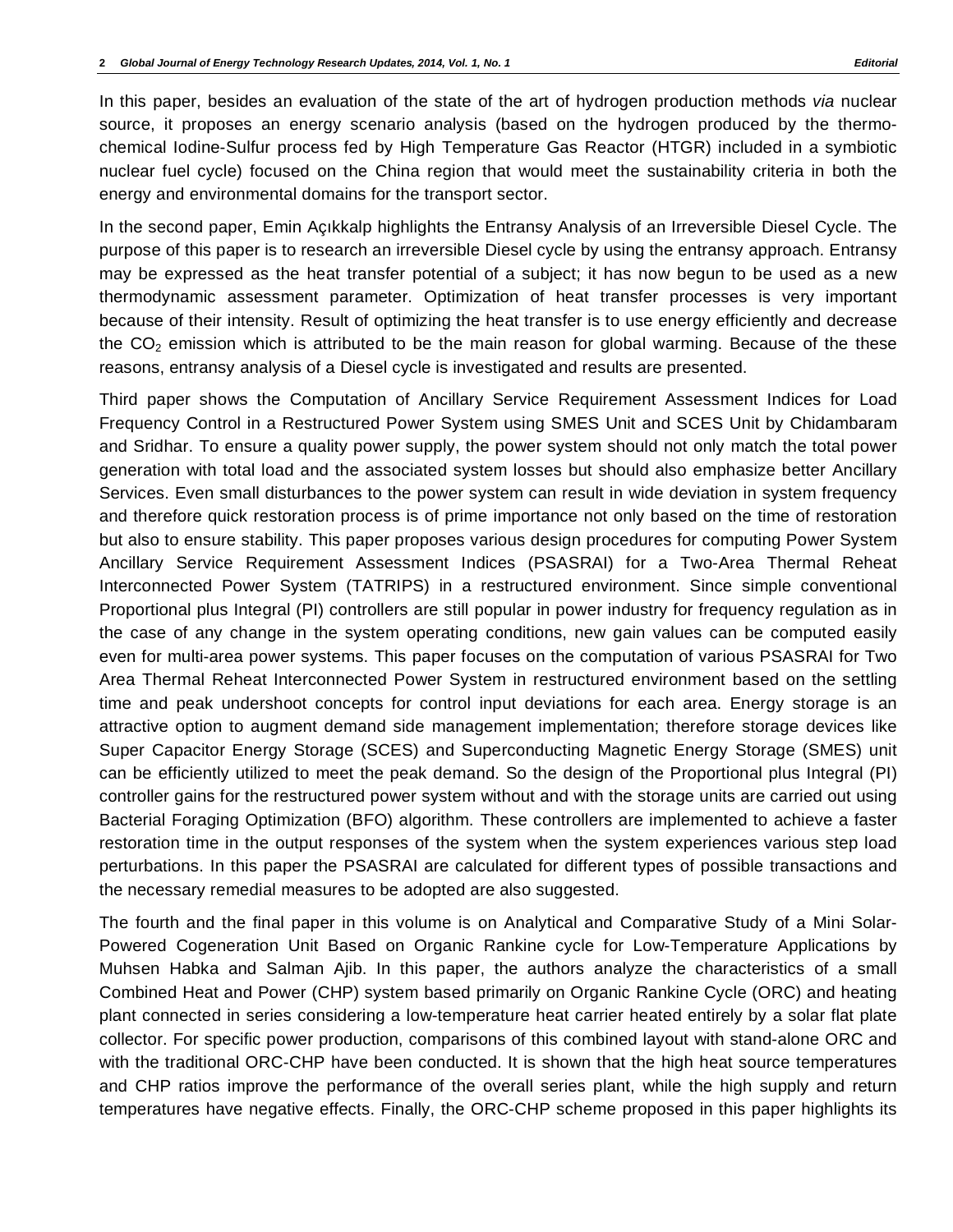In this paper, besides an evaluation of the state of the art of hydrogen production methods *via* nuclear source, it proposes an energy scenario analysis (based on the hydrogen produced by the thermochemical Iodine-Sulfur process fed by High Temperature Gas Reactor (HTGR) included in a symbiotic nuclear fuel cycle) focused on the China region that would meet the sustainability criteria in both the energy and environmental domains for the transport sector.

In the second paper, Emin Açıkkalp highlights the Entransy Analysis of an Irreversible Diesel Cycle. The purpose of this paper is to research an irreversible Diesel cycle by using the entransy approach. Entransy may be expressed as the heat transfer potential of a subject; it has now begun to be used as a new thermodynamic assessment parameter. Optimization of heat transfer processes is very important because of their intensity. Result of optimizing the heat transfer is to use energy efficiently and decrease the  $CO<sub>2</sub>$  emission which is attributed to be the main reason for global warming. Because of the these reasons, entransy analysis of a Diesel cycle is investigated and results are presented.

Third paper shows the Computation of Ancillary Service Requirement Assessment Indices for Load Frequency Control in a Restructured Power System using SMES Unit and SCES Unit by Chidambaram and Sridhar. To ensure a quality power supply, the power system should not only match the total power generation with total load and the associated system losses but should also emphasize better Ancillary Services. Even small disturbances to the power system can result in wide deviation in system frequency and therefore quick restoration process is of prime importance not only based on the time of restoration but also to ensure stability. This paper proposes various design procedures for computing Power System Ancillary Service Requirement Assessment Indices (PSASRAI) for a Two-Area Thermal Reheat Interconnected Power System (TATRIPS) in a restructured environment. Since simple conventional Proportional plus Integral (PI) controllers are still popular in power industry for frequency regulation as in the case of any change in the system operating conditions, new gain values can be computed easily even for multi-area power systems. This paper focuses on the computation of various PSASRAI for Two Area Thermal Reheat Interconnected Power System in restructured environment based on the settling time and peak undershoot concepts for control input deviations for each area. Energy storage is an attractive option to augment demand side management implementation; therefore storage devices like Super Capacitor Energy Storage (SCES) and Superconducting Magnetic Energy Storage (SMES) unit can be efficiently utilized to meet the peak demand. So the design of the Proportional plus Integral (PI) controller gains for the restructured power system without and with the storage units are carried out using Bacterial Foraging Optimization (BFO) algorithm. These controllers are implemented to achieve a faster restoration time in the output responses of the system when the system experiences various step load perturbations. In this paper the PSASRAI are calculated for different types of possible transactions and the necessary remedial measures to be adopted are also suggested.

The fourth and the final paper in this volume is on Analytical and Comparative Study of a Mini Solar-Powered Cogeneration Unit Based on Organic Rankine cycle for Low-Temperature Applications by Muhsen Habka and Salman Ajib. In this paper, the authors analyze the characteristics of a small Combined Heat and Power (CHP) system based primarily on Organic Rankine Cycle (ORC) and heating plant connected in series considering a low-temperature heat carrier heated entirely by a solar flat plate collector. For specific power production, comparisons of this combined layout with stand-alone ORC and with the traditional ORC-CHP have been conducted. It is shown that the high heat source temperatures and CHP ratios improve the performance of the overall series plant, while the high supply and return temperatures have negative effects. Finally, the ORC-CHP scheme proposed in this paper highlights its